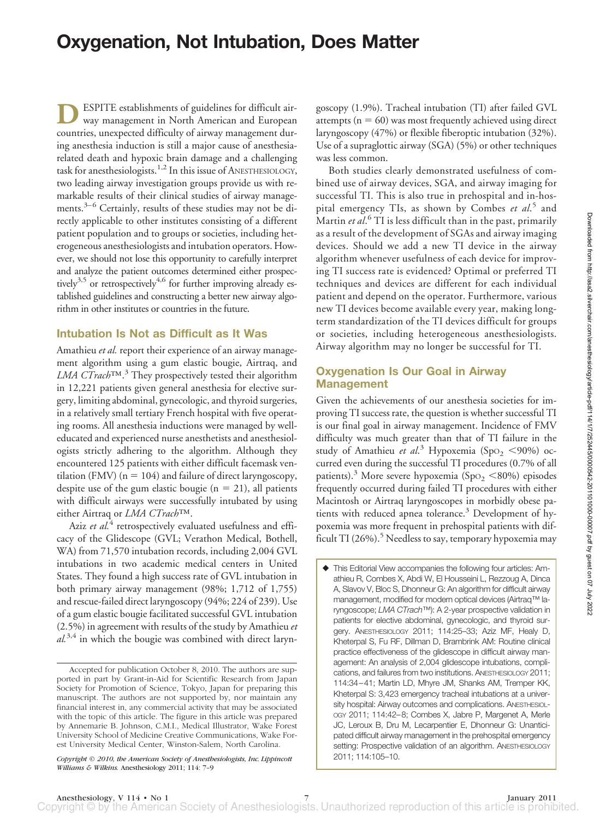# **Oxygenation, Not Intubation, Does Matter**

**D**ESPITE establishments of guidelines for difficult airway management in North American and European countries, unexpected difficulty of airway management during anesthesia induction is still a major cause of anesthesiarelated death and hypoxic brain damage and a challenging task for anesthesiologists.<sup>1,2</sup> In this issue of ANESTHESIOLOGY, two leading airway investigation groups provide us with remarkable results of their clinical studies of airway managements.<sup>3–6</sup> Certainly, results of these studies may not be directly applicable to other institutes consisting of a different patient population and to groups or societies, including heterogeneous anesthesiologists and intubation operators. However, we should not lose this opportunity to carefully interpret and analyze the patient outcomes determined either prospectively<sup>3,5</sup> or retrospectively<sup>4,6</sup> for further improving already established guidelines and constructing a better new airway algorithm in other institutes or countries in the future.

#### **Intubation Is Not as Difficult as It Was**

Amathieu *et al.* report their experience of an airway management algorithm using a gum elastic bougie, Airtraq, and *LMA CTrach*™.<sup>3</sup> They prospectively tested their algorithm in 12,221 patients given general anesthesia for elective surgery, limiting abdominal, gynecologic, and thyroid surgeries, in a relatively small tertiary French hospital with five operating rooms. All anesthesia inductions were managed by welleducated and experienced nurse anesthetists and anesthesiologists strictly adhering to the algorithm. Although they encountered 125 patients with either difficult facemask ventilation (FMV) ( $n = 104$ ) and failure of direct laryngoscopy, despite use of the gum elastic bougie ( $n = 21$ ), all patients with difficult airways were successfully intubated by using either Airtraq or *LMA CTrach*™.

Aziz *et al.*<sup>4</sup> retrospectively evaluated usefulness and efficacy of the Glidescope (GVL; Verathon Medical, Bothell, WA) from 71,570 intubation records, including 2,004 GVL intubations in two academic medical centers in United States. They found a high success rate of GVL intubation in both primary airway management (98%; 1,712 of 1,755) and rescue-failed direct laryngoscopy (94%; 224 of 239). Use of a gum elastic bougie facilitated successful GVL intubation (2.5%) in agreement with results of the study by Amathieu *et al.*3,4 in which the bougie was combined with direct laryngoscopy (1.9%). Tracheal intubation (TI) after failed GVL attempts ( $n = 60$ ) was most frequently achieved using direct laryngoscopy (47%) or flexible fiberoptic intubation (32%). Use of a supraglottic airway (SGA) (5%) or other techniques was less common.

Both studies clearly demonstrated usefulness of combined use of airway devices, SGA, and airway imaging for successful TI. This is also true in prehospital and in-hospital emergency TIs, as shown by Combes *et al*. <sup>5</sup> and Martin *et al*. <sup>6</sup> TI is less difficult than in the past, primarily as a result of the development of SGAs and airway imaging devices. Should we add a new TI device in the airway algorithm whenever usefulness of each device for improving TI success rate is evidenced? Optimal or preferred TI techniques and devices are different for each individual patient and depend on the operator. Furthermore, various new TI devices become available every year, making longterm standardization of the TI devices difficult for groups or societies, including heterogeneous anesthesiologists. Airway algorithm may no longer be successful for TI.

## **Oxygenation Is Our Goal in Airway Management**

Given the achievements of our anesthesia societies for improving TI success rate, the question is whether successful TI is our final goal in airway management. Incidence of FMV difficulty was much greater than that of TI failure in the study of Amathieu et al.<sup>3</sup> Hypoxemia (Spo<sub>2</sub> <90%) occurred even during the successful TI procedures (0.7% of all patients).<sup>3</sup> More severe hypoxemia (SpO<sub>2</sub> <80%) episodes frequently occurred during failed TI procedures with either Macintosh or Airtraq laryngoscopes in morbidly obese patients with reduced apnea tolerance. $3$  Development of hypoxemia was more frequent in prehospital patients with difficult TI (26%). $^5$  Needless to say, temporary hypoxemia may

 This Editorial View accompanies the following four articles: Amathieu R, Combes X, Abdi W, El Housseini L, Rezzoug A, Dinca A, Slavov V, Bloc S, Dhonneur G: An algorithm for difficult airway management, modified for modern optical devices (Airtraq™ laryngoscope; *LMA CTrach*™): A 2-year prospective validation in patients for elective abdominal, gynecologic, and thyroid surgery. ANESTHESIOLOGY 2011; 114:25–33; Aziz MF, Healy D, Kheterpal S, Fu RF, Dillman D, Brambrink AM: Routine clinical practice effectiveness of the glidescope in difficult airway management: An analysis of 2,004 glidescope intubations, complications, and failures from two institutions. ANESTHESIOLOGY 2011; 114:34 –41; Martin LD, Mhyre JM, Shanks AM, Tremper KK, Kheterpal S: 3,423 emergency tracheal intubations at a university hospital: Airway outcomes and complications. ANESTHESIOL-OGY 2011; 114:42–8; Combes X, Jabre P, Margenet A, Merle JC, Leroux B, Dru M, Lecarpentier E, Dhonneur G: Unanticipated difficult airway management in the prehospital emergency setting: Prospective validation of an algorithm. ANESTHESIOLOGY 2011; 114:105–10.

Accepted for publication October 8, 2010. The authors are supported in part by Grant-in-Aid for Scientific Research from Japan Society for Promotion of Science, Tokyo, Japan for preparing this manuscript. The authors are not supported by, nor maintain any financial interest in, any commercial activity that may be associated with the topic of this article. The figure in this article was prepared by Annemarie B. Johnson, C.M.I., Medical Illustrator, Wake Forest University School of Medicine Creative Communications, Wake Forest University Medical Center, Winston-Salem, North Carolina.

*Copyright © 2010, the American Society of Anesthesiologists, Inc. Lippincott Williams & Wilkins.* Anesthesiology 2011; 114: 7–9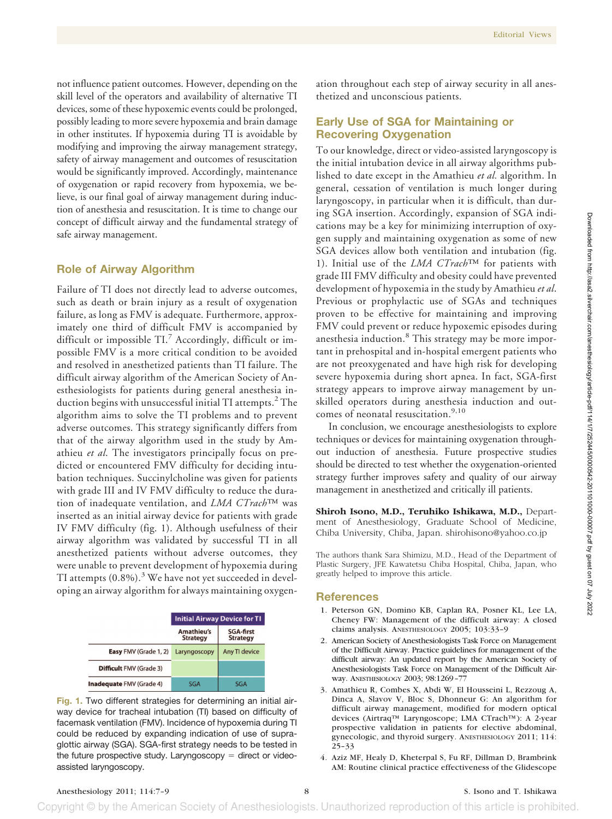not influence patient outcomes. However, depending on the skill level of the operators and availability of alternative TI devices, some of these hypoxemic events could be prolonged, possibly leading to more severe hypoxemia and brain damage in other institutes. If hypoxemia during TI is avoidable by modifying and improving the airway management strategy, safety of airway management and outcomes of resuscitation would be significantly improved. Accordingly, maintenance of oxygenation or rapid recovery from hypoxemia, we believe, is our final goal of airway management during induction of anesthesia and resuscitation. It is time to change our concept of difficult airway and the fundamental strategy of safe airway management.

#### **Role of Airway Algorithm**

Failure of TI does not directly lead to adverse outcomes, such as death or brain injury as a result of oxygenation failure, as long as FMV is adequate. Furthermore, approximately one third of difficult FMV is accompanied by difficult or impossible TI.<sup>7</sup> Accordingly, difficult or impossible FMV is a more critical condition to be avoided and resolved in anesthetized patients than TI failure. The difficult airway algorithm of the American Society of Anesthesiologists for patients during general anesthesia induction begins with unsuccessful initial TI attempts.<sup>2</sup> The algorithm aims to solve the TI problems and to prevent adverse outcomes. This strategy significantly differs from that of the airway algorithm used in the study by Amathieu *et al*. The investigators principally focus on predicted or encountered FMV difficulty for deciding intubation techniques. Succinylcholine was given for patients with grade III and IV FMV difficulty to reduce the duration of inadequate ventilation, and *LMA CTrach*™ was inserted as an initial airway device for patients with grade IV FMV difficulty (fig. 1). Although usefulness of their airway algorithm was validated by successful TI in all anesthetized patients without adverse outcomes, they were unable to prevent development of hypoxemia during TI attempts  $(0.8\%)$ .<sup>3</sup> We have not yet succeeded in developing an airway algorithm for always maintaining oxygen-

|                                | <b>Initial Airway Device for TI</b> |                                     |
|--------------------------------|-------------------------------------|-------------------------------------|
|                                | Amathieu's<br><b>Strategy</b>       | <b>SGA-first</b><br><b>Strategy</b> |
| Easy FMV (Grade 1, 2)          | Laryngoscopy                        | Any TI device                       |
| <b>Difficult FMV (Grade 3)</b> |                                     |                                     |
| Inadequate FMV (Grade 4)       | SGA                                 | SGA                                 |

**Fig. 1.** Two different strategies for determining an initial airway device for tracheal intubation (TI) based on difficulty of facemask ventilation (FMV). Incidence of hypoxemia during TI could be reduced by expanding indication of use of supraglottic airway (SGA). SGA-first strategy needs to be tested in the future prospective study. Laryngoscopy  $=$  direct or videoassisted laryngoscopy.

ation throughout each step of airway security in all anesthetized and unconscious patients.

### **Early Use of SGA for Maintaining or Recovering Oxygenation**

To our knowledge, direct or video-assisted laryngoscopy is the initial intubation device in all airway algorithms published to date except in the Amathieu *et al.* algorithm. In general, cessation of ventilation is much longer during laryngoscopy, in particular when it is difficult, than during SGA insertion. Accordingly, expansion of SGA indications may be a key for minimizing interruption of oxygen supply and maintaining oxygenation as some of new SGA devices allow both ventilation and intubation (fig. 1). Initial use of the *LMA CTrach*™ for patients with grade III FMV difficulty and obesity could have prevented development of hypoxemia in the study by Amathieu *et al*. Previous or prophylactic use of SGAs and techniques proven to be effective for maintaining and improving FMV could prevent or reduce hypoxemic episodes during anesthesia induction.<sup>8</sup> This strategy may be more important in prehospital and in-hospital emergent patients who are not preoxygenated and have high risk for developing severe hypoxemia during short apnea. In fact, SGA-first strategy appears to improve airway management by unskilled operators during anesthesia induction and outcomes of neonatal resuscitation.<sup>9,10</sup>

In conclusion, we encourage anesthesiologists to explore techniques or devices for maintaining oxygenation throughout induction of anesthesia. Future prospective studies should be directed to test whether the oxygenation-oriented strategy further improves safety and quality of our airway management in anesthetized and critically ill patients.

**Shiroh Isono, M.D., Teruhiko Ishikawa, M.D.,** Department of Anesthesiology, Graduate School of Medicine, Chiba University, Chiba, Japan. shirohisono@yahoo.co.jp

The authors thank Sara Shimizu, M.D., Head of the Department of Plastic Surgery, JFE Kawatetsu Chiba Hospital, Chiba, Japan, who greatly helped to improve this article.

#### **References**

- 1. Peterson GN, Domino KB, Caplan RA, Posner KL, Lee LA, Cheney FW: Management of the difficult airway: A closed claims analysis. ANESTHESIOLOGY 2005; 103:33–9
- 2. American Society of Anesthesiologists Task Force on Management of the Difficult Airway. Practice guidelines for management of the difficult airway: An updated report by the American Society of Anesthesiologists Task Force on Management of the Difficult Airway. ANESTHESIOLOGY 2003; 98:1269 –77
- 3. Amathieu R, Combes X, Abdi W, El Housseini L, Rezzoug A, Dinca A, Slavov V, Bloc S, Dhonneur G: An algorithm for difficult airway management, modified for modern optical devices (Airtraq™ Laryngoscope; LMA CTrach™): A 2-year prospective validation in patients for elective abdominal, gynecologic, and thyroid surgery. ANESTHESIOLOGY 2011; 114: 25–33
- 4. Aziz MF, Healy D, Kheterpal S, Fu RF, Dillman D, Brambrink AM: Routine clinical practice effectiveness of the Glidescope

Copyright © by the American Society of Anesthesiologists. Unauthorized reproduction of this article is prohibited.